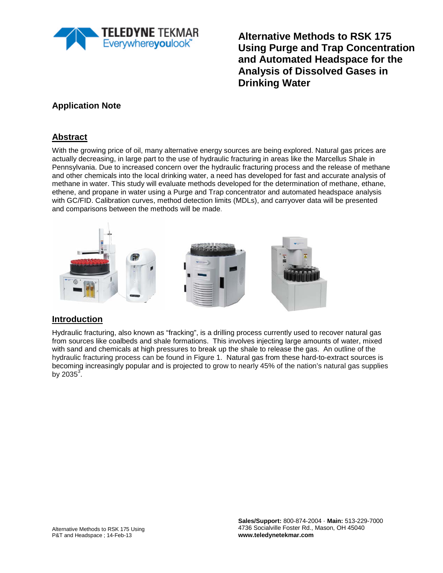

**Alternative Methods to RSK 175 Using Purge and Trap Concentration and Automated Headspace for the Analysis of Dissolved Gases in Drinking Water**

# **Application Note**

## **Abstract**

With the growing price of oil, many alternative energy sources are being explored. Natural gas prices are actually decreasing, in large part to the use of hydraulic fracturing in areas like the Marcellus Shale in Pennsylvania. Due to increased concern over the hydraulic fracturing process and the release of methane and other chemicals into the local drinking water, a need has developed for fast and accurate analysis of methane in water. This study will evaluate methods developed for the determination of methane, ethane, ethene, and propane in water using a Purge and Trap concentrator and automated headspace analysis with GC/FID. Calibration curves, method detection limits (MDLs), and carryover data will be presented and comparisons between the methods will be made.



### **Introduction**

Hydraulic fracturing, also known as "fracking", is a drilling process currently used to recover natural gas from sources like coalbeds and shale formations. This involves injecting large amounts of water, mixed with sand and chemicals at high pressures to break up the shale to release the gas. An outline of the hydraulic fracturing process can be found in Figure 1. Natural gas from these hard-to-extract sources is becoming increasingly popular and is projected to grow to nearly 45% of the nation's natural gas supplies by 2035 $\overline{3}$ .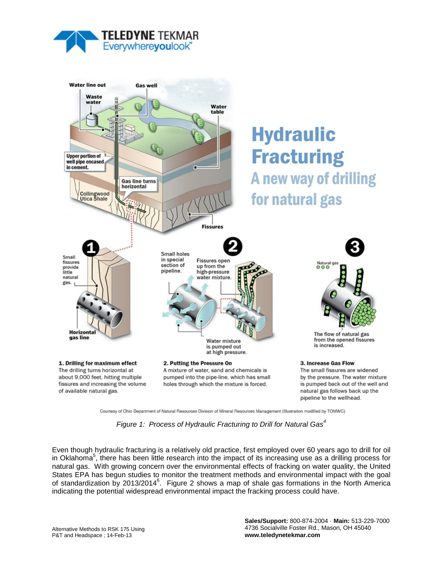



Courtesy of Ohio Department of Natural Resources Division of Mineral Resources Management (Illustration modified by TOMWC)

*Figure 1: Process of Hydraulic Fracturing to Drill for Natural Gas<sup>4</sup>*

Even though hydraulic fracturing is a relatively old practice, first employed over 60 years ago to drill for oil in Oklahoma<sup>5</sup>, there has been little research into the impact of its increasing use as a drilling process for natural gas. With growing concern over the environmental effects of fracking on water quality, the United States EPA has begun studies to monitor the treatment methods and environmental impact with the goal of standardization by 2013/2014<sup>6</sup>. Figure 2 shows a map of shale gas formations in the North America indicating the potential widespread environmental impact the fracking process could have.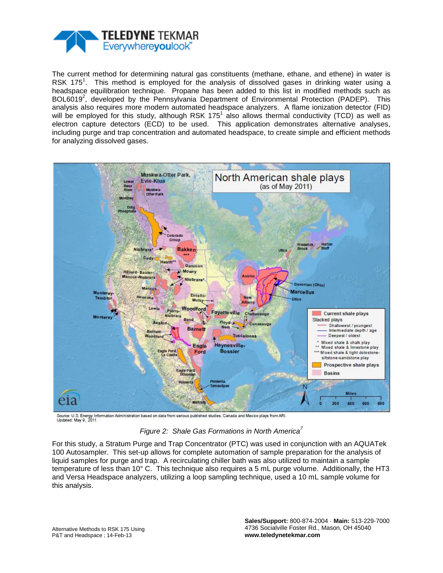

The current method for determining natural gas constituents (methane, ethane, and ethene) in water is RSK 175<sup>1</sup>. This method is employed for the analysis of dissolved gases in drinking water using a headspace equilibration technique. Propane has been added to this list in modified methods such as BOL6019<sup>2</sup>, developed by the Pennsylvania Department of Environmental Protection (PADEP). This analysis also requires more modern automated headspace analyzers. A flame ionization detector (FID) will be employed for this study, although RSK 175<sup>1</sup> also allows thermal conductivity (TCD) as well as electron capture detectors (ECD) to be used. This application demonstrates alternative analyses, including purge and trap concentration and automated headspace, to create simple and efficient methods for analyzing dissolved gases.



Source: U.S. Energy Information Administration based on data from various published studies. Canada and Mexico plays from ARI.<br>Updated: May 9, 2011

*Figure 2: Shale Gas Formations in North America<sup>7</sup>*

For this study, a Stratum Purge and Trap Concentrator (PTC) was used in conjunction with an AQUATek 100 Autosampler. This set-up allows for complete automation of sample preparation for the analysis of liquid samples for purge and trap. A recirculating chiller bath was also utilized to maintain a sample temperature of less than 10° C. This technique also requires a 5 mL purge volume. Additionally, the HT3 and Versa Headspace analyzers, utilizing a loop sampling technique, used a 10 mL sample volume for this analysis.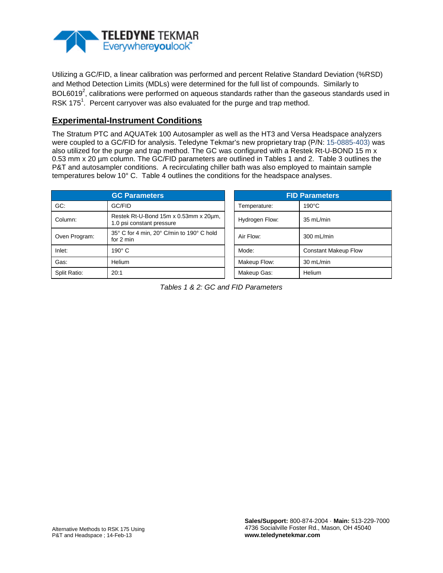

Utilizing a GC/FID, a linear calibration was performed and percent Relative Standard Deviation (%RSD) and Method Detection Limits (MDLs) were determined for the full list of compounds. Similarly to BOL6019<sup>2</sup>, calibrations were performed on aqueous standards rather than the gaseous standards used in RSK 175<sup>1</sup>. Percent carryover was also evaluated for the purge and trap method.

#### **Experimental-Instrument Conditions**

The Stratum PTC and AQUATek 100 Autosampler as well as the HT3 and Versa Headspace analyzers were coupled to a GC/FID for analysis. Teledyne Tekmar's new proprietary trap (P/N: 15-0885-403) was also utilized for the purge and trap method. The GC was configured with a Restek Rt-U-BOND 15 m x 0.53 mm x 20 µm column. The GC/FID parameters are outlined in Tables 1 and 2. Table 3 outlines the P&T and autosampler conditions. A recirculating chiller bath was also employed to maintain sample temperatures below 10° C. Table 4 outlines the conditions for the headspace analyses.

|               | <b>GC Parameters</b>                                               | <b>FID Parameters</b> |                             |  |
|---------------|--------------------------------------------------------------------|-----------------------|-----------------------------|--|
| GC:           | GC/FID                                                             | Temperature:          | $190^{\circ}$ C             |  |
| Column:       | Restek Rt-U-Bond 15m x 0.53mm x 20µm,<br>1.0 psi constant pressure | Hydrogen Flow:        | 35 mL/min                   |  |
| Oven Program: | 35° C for 4 min, 20° C/min to 190° C hold<br>for $2 \text{ min}$   | Air Flow:             | 300 mL/min                  |  |
| Inlet:        | $190^\circ$ C                                                      | Mode:                 | <b>Constant Makeup Flow</b> |  |
| Gas:          | Helium                                                             | Makeup Flow:          | 30 mL/min                   |  |
| Split Ratio:  | 20:1                                                               | Makeup Gas:           | Helium                      |  |

| <b>FID Parameters</b> |                             |  |  |  |
|-----------------------|-----------------------------|--|--|--|
| Temperature:          | $190^{\circ}$ C             |  |  |  |
| Hydrogen Flow:        | 35 mL/min                   |  |  |  |
| Air Flow:             | 300 mL/min                  |  |  |  |
| Mode:                 | <b>Constant Makeup Flow</b> |  |  |  |
| Makeup Flow:          | 30 mL/min                   |  |  |  |
| Makeup Gas:           | Helium                      |  |  |  |

*Tables 1 & 2: GC and FID Parameters*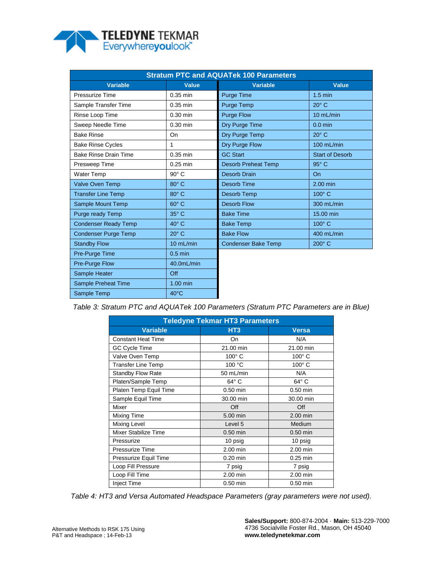

| <b>Stratum PTC and AQUATek 100 Parameters</b> |                |                            |                        |  |  |  |
|-----------------------------------------------|----------------|----------------------------|------------------------|--|--|--|
| <b>Variable</b>                               | <b>Value</b>   | <b>Variable</b>            | <b>Value</b>           |  |  |  |
| Pressurize Time                               | $0.35$ min     | <b>Purge Time</b>          | $1.5 \text{ min}$      |  |  |  |
| Sample Transfer Time                          | $0.35$ min     | <b>Purge Temp</b>          | $20^\circ$ C           |  |  |  |
| Rinse Loop Time                               | $0.30$ min     | <b>Purge Flow</b>          | 10 mL/min              |  |  |  |
| Sweep Needle Time                             | $0.30$ min     | Dry Purge Time             | $0.0$ min              |  |  |  |
| <b>Bake Rinse</b>                             | On             | Dry Purge Temp             | $20^{\circ}$ C         |  |  |  |
| <b>Bake Rinse Cycles</b>                      | 1              | Dry Purge Flow             | 100 mL/min             |  |  |  |
| <b>Bake Rinse Drain Time</b>                  | $0.35$ min     | <b>GC Start</b>            | <b>Start of Desorb</b> |  |  |  |
| Presweep Time                                 | $0.25$ min     | <b>Desorb Preheat Temp</b> | $95^\circ$ C           |  |  |  |
| <b>Water Temp</b>                             | $90^\circ$ C   | Desorb Drain               | O <sub>n</sub>         |  |  |  |
| <b>Valve Oven Temp</b>                        | 80° C          | <b>Desorb Time</b>         | $2.00$ min             |  |  |  |
| <b>Transfer Line Temp</b>                     | $80^\circ$ C   | Desorb Temp                | $100^\circ$ C          |  |  |  |
| Sample Mount Temp                             | $60^\circ$ C   | <b>Desorb Flow</b>         | 300 mL/min             |  |  |  |
| Purge ready Temp                              | 35° C          | <b>Bake Time</b>           | 15.00 min              |  |  |  |
| <b>Condenser Ready Temp</b>                   | $40^\circ$ C   | <b>Bake Temp</b>           | 100° C                 |  |  |  |
| <b>Condenser Purge Temp</b>                   | $20^\circ$ C   | <b>Bake Flow</b>           | 400 mL/min             |  |  |  |
| <b>Standby Flow</b>                           | 10 mL/min      | <b>Condenser Bake Temp</b> | 200° C                 |  |  |  |
| Pre-Purge Time                                | $0.5$ min      |                            |                        |  |  |  |
| <b>Pre-Purge Flow</b>                         | 40.0mL/min     |                            |                        |  |  |  |
| Sample Heater                                 | Off            |                            |                        |  |  |  |
| Sample Preheat Time                           | $1.00$ min     |                            |                        |  |  |  |
| Sample Temp                                   | $40^{\circ}$ C |                            |                        |  |  |  |

*Table 3: Stratum PTC and AQUATek 100 Parameters (Stratum PTC Parameters are in Blue)*

| <b>Teledyne Tekmar HT3 Parameters</b> |                 |                |  |  |  |  |
|---------------------------------------|-----------------|----------------|--|--|--|--|
| <b>Variable</b>                       | HT <sub>3</sub> | <b>Versa</b>   |  |  |  |  |
| <b>Constant Heat Time</b>             | On              | N/A            |  |  |  |  |
| GC Cycle Time                         | 21.00 min       | 21.00 min      |  |  |  |  |
| Valve Oven Temp                       | $100^\circ$ C   | $100^\circ$ C  |  |  |  |  |
| <b>Transfer Line Temp</b>             | 100 °C          | $100^\circ$ C  |  |  |  |  |
| <b>Standby Flow Rate</b>              | 50 mL/min       | N/A            |  |  |  |  |
| Platen/Sample Temp                    | $64^{\circ}$ C  | $64^{\circ}$ C |  |  |  |  |
| Platen Temp Equil Time                | $0.50$ min      | $0.50$ min     |  |  |  |  |
| Sample Equil Time                     | 30.00 min       | 30.00 min      |  |  |  |  |
| Mixer                                 | Off             | Off            |  |  |  |  |
| <b>Mixing Time</b>                    | 5.00 min        | 2.00 min       |  |  |  |  |
| Mixing Level                          | Level 5         | Medium         |  |  |  |  |
| Mixer Stabilize Time                  | $0.50$ min      | $0.50$ min     |  |  |  |  |
| Pressurize                            | 10 psig         | 10 psig        |  |  |  |  |
| Pressurize Time                       | 2.00 min        | 2.00 min       |  |  |  |  |
| Pressurize Equil Time                 | $0.20$ min      | $0.25$ min     |  |  |  |  |
| Loop Fill Pressure                    | 7 psig          | 7 psig         |  |  |  |  |
| Loop Fill Time                        | 2.00 min        | 2.00 min       |  |  |  |  |
| <b>Inject Time</b>                    | $0.50$ min      | $0.50$ min     |  |  |  |  |

*Table 4: HT3 and Versa Automated Headspace Parameters (gray parameters were not used).*

**Sales/Support:** 800-874-2004 · **Main:** 513-229-7000 4736 Socialville Foster Rd., Mason, OH 45040 **www.teledynetekmar.com**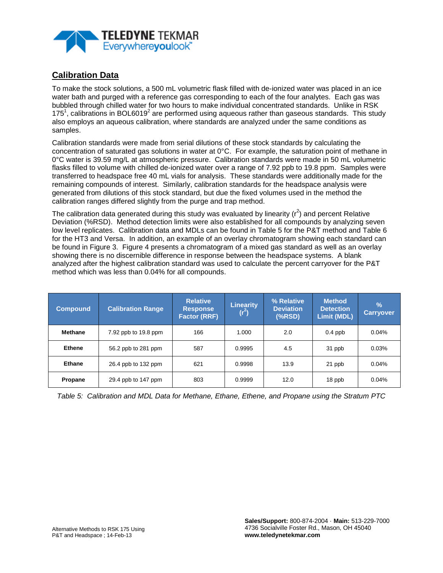

# **Calibration Data**

To make the stock solutions, a 500 mL volumetric flask filled with de-ionized water was placed in an ice water bath and purged with a reference gas corresponding to each of the four analytes. Each gas was bubbled through chilled water for two hours to make individual concentrated standards. Unlike in RSK 175<sup>1</sup>, calibrations in BOL6019<sup>2</sup> are performed using aqueous rather than gaseous standards. This study also employs an aqueous calibration, where standards are analyzed under the same conditions as samples.

Calibration standards were made from serial dilutions of these stock standards by calculating the concentration of saturated gas solutions in water at 0°C. For example, the saturation point of methane in 0°C water is 39.59 mg/L at atmospheric pressure. Calibration standards were made in 50 mL volumetric flasks filled to volume with chilled de-ionized water over a range of 7.92 ppb to 19.8 ppm. Samples were transferred to headspace free 40 mL vials for analysis. These standards were additionally made for the remaining compounds of interest. Similarly, calibration standards for the headspace analysis were generated from dilutions of this stock standard, but due the fixed volumes used in the method the calibration ranges differed slightly from the purge and trap method.

The calibration data generated during this study was evaluated by linearity ( $r^2$ ) and percent Relative Deviation (%RSD). Method detection limits were also established for all compounds by analyzing seven low level replicates. Calibration data and MDLs can be found in Table 5 for the P&T method and Table 6 for the HT3 and Versa. In addition, an example of an overlay chromatogram showing each standard can be found in Figure 3. Figure 4 presents a chromatogram of a mixed gas standard as well as an overlay showing there is no discernible difference in response between the headspace systems. A blank analyzed after the highest calibration standard was used to calculate the percent carryover for the P&T method which was less than 0.04% for all compounds.

| <b>Compound</b> | <b>Calibration Range</b> | <b>Relative</b><br><b>Response</b><br><b>Factor (RRF)</b> | Linearity<br>$(r^2)$ | % Relative<br><b>Deviation</b><br>$(*RSD)$ | <b>Method</b><br><b>Detection</b><br><b>Limit (MDL)</b> | $\frac{9}{6}$<br><b>Carryover</b> |
|-----------------|--------------------------|-----------------------------------------------------------|----------------------|--------------------------------------------|---------------------------------------------------------|-----------------------------------|
| Methane         | 7.92 ppb to 19.8 ppm     | 166                                                       | 1.000                | 2.0                                        | $0.4$ ppb                                               | 0.04%                             |
| <b>Ethene</b>   | 56.2 ppb to 281 ppm      | 587                                                       | 0.9995               | 4.5                                        | 31 ppb                                                  | 0.03%                             |
| Ethane          | 26.4 ppb to 132 ppm      | 621                                                       | 0.9998               | 13.9                                       | 21 ppb                                                  | 0.04%                             |
| Propane         | 29.4 ppb to 147 ppm      | 803                                                       | 0.9999               | 12.0                                       | 18 ppb                                                  | 0.04%                             |

*Table 5: Calibration and MDL Data for Methane, Ethane, Ethene, and Propane using the Stratum PTC*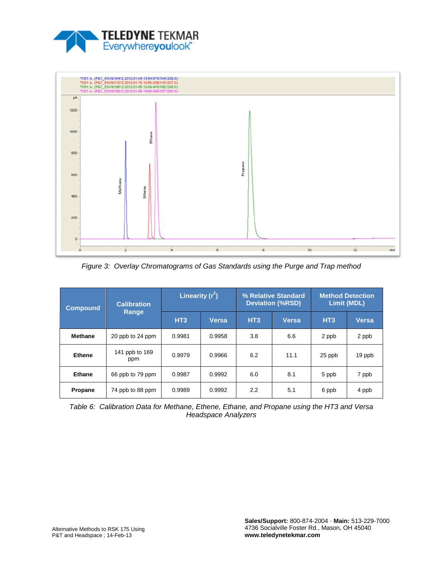



*Figure 3: Overlay Chromatograms of Gas Standards using the Purge and Trap method*

| <b>Compound</b> | <b>Calibration</b><br>Range | Linearity $(r^2)$ |              | % Relative Standard<br><b>Deviation (%RSD)</b> |       | <b>Method Detection</b><br><b>Limit (MDL)</b> |              |
|-----------------|-----------------------------|-------------------|--------------|------------------------------------------------|-------|-----------------------------------------------|--------------|
|                 |                             | HT <sub>3</sub>   | <b>Versa</b> | HT <sub>3</sub>                                | Versa | HT <sub>3</sub>                               | <b>Versa</b> |
| <b>Methane</b>  | 20 ppb to 24 ppm            | 0.9981            | 0.9958       | 3.8                                            | 6.6   | 2 ppb                                         | 2 ppb        |
| <b>Ethene</b>   | 141 ppb to 169<br>ppm       | 0.9979            | 0.9966       | 6.2                                            | 11.1  | 25 ppb                                        | 19 ppb       |
| <b>Ethane</b>   | 66 ppb to 79 ppm            | 0.9987            | 0.9992       | 6.0                                            | 8.1   | 5 ppb                                         | 7 ppb        |
| Propane         | 74 ppb to 88 ppm            | 0.9989            | 0.9992       | 2.2                                            | 5.1   | 6 ppb                                         | 4 ppb        |

*Table 6: Calibration Data for Methane, Ethene, Ethane, and Propane using the HT3 and Versa Headspace Analyzers*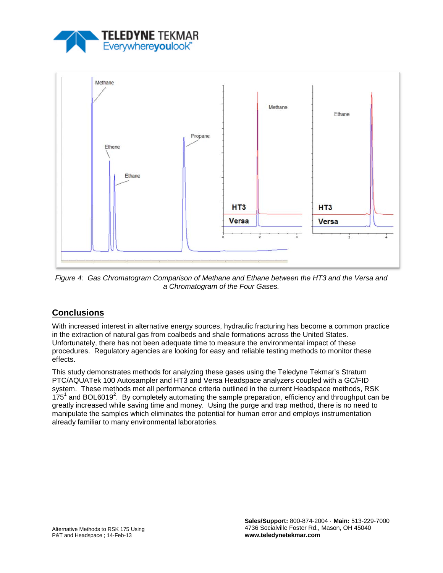



*Figure 4: Gas Chromatogram Comparison of Methane and Ethane between the HT3 and the Versa and a Chromatogram of the Four Gases.* 

## **Conclusions**

With increased interest in alternative energy sources, hydraulic fracturing has become a common practice in the extraction of natural gas from coalbeds and shale formations across the United States. Unfortunately, there has not been adequate time to measure the environmental impact of these procedures. Regulatory agencies are looking for easy and reliable testing methods to monitor these effects.

This study demonstrates methods for analyzing these gases using the Teledyne Tekmar's Stratum PTC/AQUATek 100 Autosampler and HT3 and Versa Headspace analyzers coupled with a GC/FID system. These methods met all performance criteria outlined in the current Headspace methods, RSK  $175<sup>1</sup>$  and BOL6019<sup>2</sup>. By completely automating the sample preparation, efficiency and throughput can be greatly increased while saving time and money. Using the purge and trap method, there is no need to manipulate the samples which eliminates the potential for human error and employs instrumentation already familiar to many environmental laboratories.